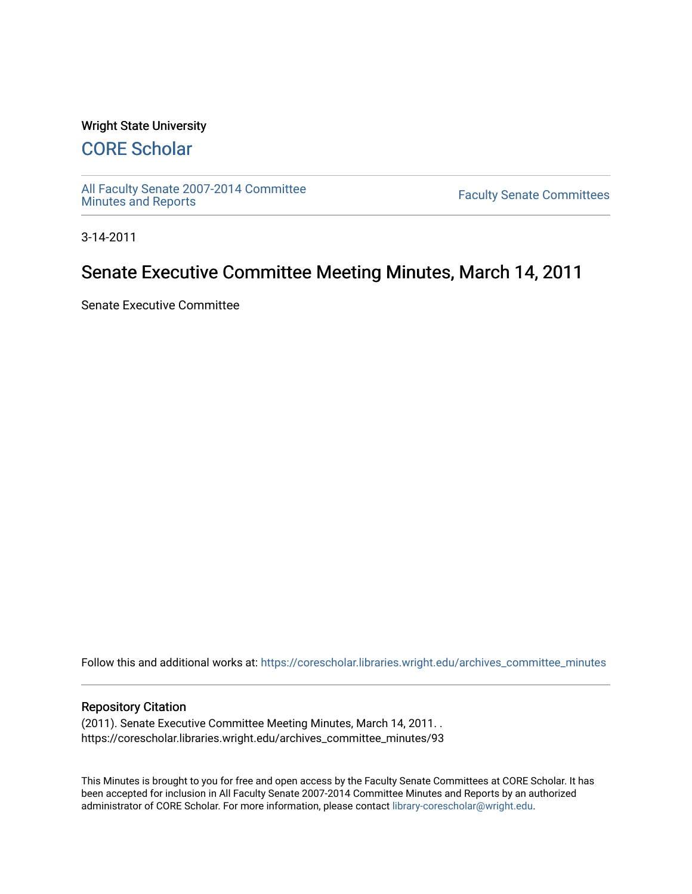## Wright State University

# [CORE Scholar](https://corescholar.libraries.wright.edu/)

[All Faculty Senate 2007-2014 Committee](https://corescholar.libraries.wright.edu/archives_committee_minutes)

**Faculty Senate Committees** 

3-14-2011

# Senate Executive Committee Meeting Minutes, March 14, 2011

Senate Executive Committee

Follow this and additional works at: [https://corescholar.libraries.wright.edu/archives\\_committee\\_minutes](https://corescholar.libraries.wright.edu/archives_committee_minutes?utm_source=corescholar.libraries.wright.edu%2Farchives_committee_minutes%2F93&utm_medium=PDF&utm_campaign=PDFCoverPages) 

#### Repository Citation

(2011). Senate Executive Committee Meeting Minutes, March 14, 2011. . https://corescholar.libraries.wright.edu/archives\_committee\_minutes/93

This Minutes is brought to you for free and open access by the Faculty Senate Committees at CORE Scholar. It has been accepted for inclusion in All Faculty Senate 2007-2014 Committee Minutes and Reports by an authorized administrator of CORE Scholar. For more information, please contact [library-corescholar@wright.edu.](mailto:library-corescholar@wright.edu)